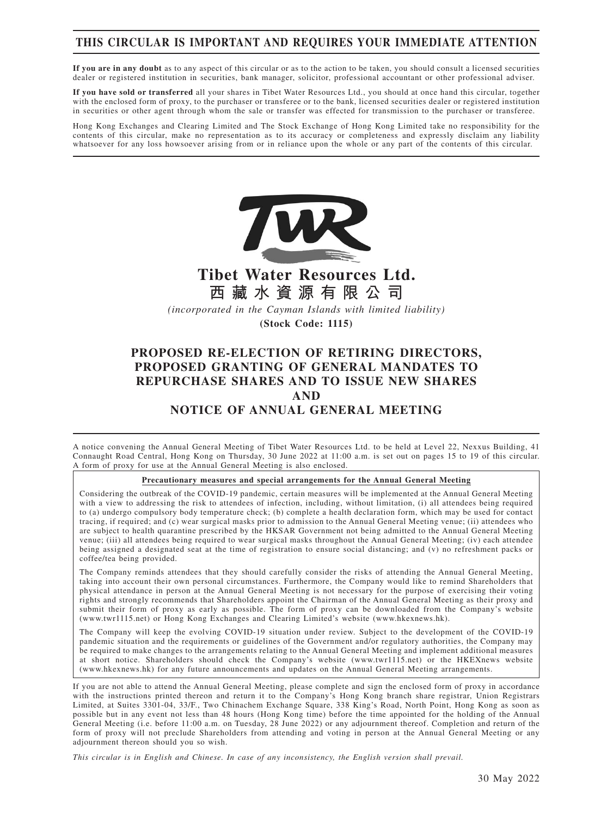## **THIS CIRCULAR IS IMPORTANT AND REQUIRES YOUR IMMEDIATE ATTENTION**

**If you are in any doubt** as to any aspect of this circular or as to the action to be taken, you should consult a licensed securities dealer or registered institution in securities, bank manager, solicitor, professional accountant or other professional adviser.

**If you have sold or transferred** all your shares in Tibet Water Resources Ltd., you should at once hand this circular, together with the enclosed form of proxy, to the purchaser or transferee or to the bank, licensed securities dealer or registered institution in securities or other agent through whom the sale or transfer was effected for transmission to the purchaser or transferee.

Hong Kong Exchanges and Clearing Limited and The Stock Exchange of Hong Kong Limited take no responsibility for the contents of this circular, make no representation as to its accuracy or completeness and expressly disclaim any liability whatsoever for any loss howsoever arising from or in reliance upon the whole or any part of the contents of this circular.



**Tibet Water Resources Ltd. 西藏水資源有限公司**

*(incorporated in the Cayman Islands with limited liability)* **(Stock Code: 1115)**

## **PROPOSED RE-ELECTION OF RETIRING DIRECTORS, PROPOSED GRANTING OF GENERAL MANDATES TO REPURCHASE SHARES AND TO ISSUE NEW SHARES AND NOTICE OF ANNUAL GENERAL MEETING**

A notice convening the Annual General Meeting of Tibet Water Resources Ltd. to be held at Level 22, Nexxus Building, 41 Connaught Road Central, Hong Kong on Thursday, 30 June 2022 at 11:00 a.m. is set out on pages 15 to 19 of this circular. A form of proxy for use at the Annual General Meeting is also enclosed.

#### **Precautionary measures and special arrangements for the Annual General Meeting**

Considering the outbreak of the COVID-19 pandemic, certain measures will be implemented at the Annual General Meeting with a view to addressing the risk to attendees of infection, including, without limitation, (i) all attendees being required to (a) undergo compulsory body temperature check; (b) complete a health declaration form, which may be used for contact tracing, if required; and (c) wear surgical masks prior to admission to the Annual General Meeting venue; (ii) attendees who are subject to health quarantine prescribed by the HKSAR Government not being admitted to the Annual General Meeting venue; (iii) all attendees being required to wear surgical masks throughout the Annual General Meeting; (iv) each attendee being assigned a designated seat at the time of registration to ensure social distancing; and (v) no refreshment packs or coffee/tea being provided.

The Company reminds attendees that they should carefully consider the risks of attending the Annual General Meeting, taking into account their own personal circumstances. Furthermore, the Company would like to remind Shareholders that physical attendance in person at the Annual General Meeting is not necessary for the purpose of exercising their voting rights and strongly recommends that Shareholders appoint the Chairman of the Annual General Meeting as their proxy and submit their form of proxy as early as possible. The form of proxy can be downloaded from the Company's website (www.twr1115.net) or Hong Kong Exchanges and Clearing Limited's website (www.hkexnews.hk).

The Company will keep the evolving COVID-19 situation under review. Subject to the development of the COVID-19 pandemic situation and the requirements or guidelines of the Government and/or regulatory authorities, the Company may be required to make changes to the arrangements relating to the Annual General Meeting and implement additional measures at short notice. Shareholders should check the Company's website (www.twr1115.net) or the HKEXnews website (www.hkexnews.hk) for any future announcements and updates on the Annual General Meeting arrangements.

If you are not able to attend the Annual General Meeting, please complete and sign the enclosed form of proxy in accordance with the instructions printed thereon and return it to the Company's Hong Kong branch share registrar, Union Registrars Limited, at Suites 3301-04, 33/F., Two Chinachem Exchange Square, 338 King's Road, North Point, Hong Kong as soon as possible but in any event not less than 48 hours (Hong Kong time) before the time appointed for the holding of the Annual General Meeting (i.e. before 11:00 a.m. on Tuesday, 28 June 2022) or any adjournment thereof. Completion and return of the form of proxy will not preclude Shareholders from attending and voting in person at the Annual General Meeting or any adjournment thereon should you so wish.

*This circular is in English and Chinese. In case of any inconsistency, the English version shall prevail.*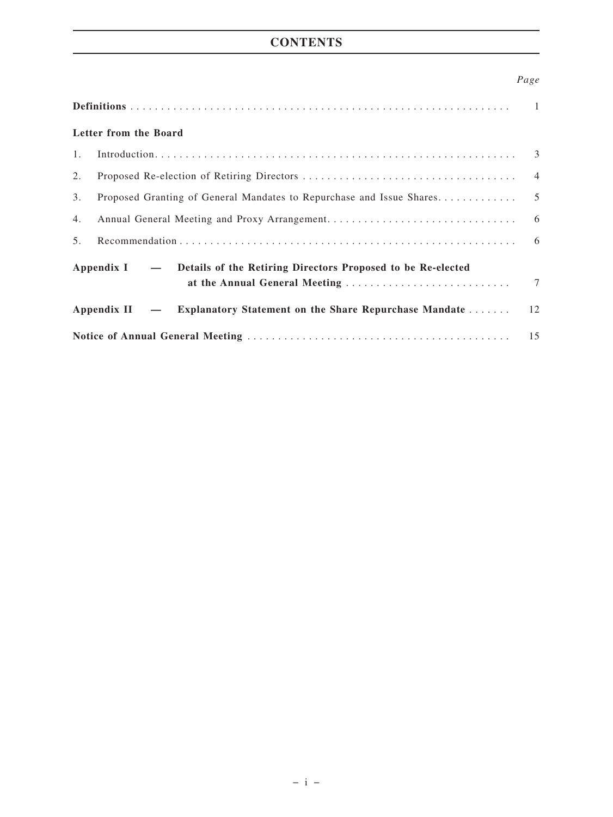## **CONTENTS**

## *Page*

| Letter from the Board                                                    |                                                                     |    |  |  |
|--------------------------------------------------------------------------|---------------------------------------------------------------------|----|--|--|
| 1.                                                                       |                                                                     |    |  |  |
| 2.                                                                       |                                                                     |    |  |  |
| 3.                                                                       |                                                                     |    |  |  |
| 4.                                                                       |                                                                     |    |  |  |
| 5.                                                                       |                                                                     | 6  |  |  |
| Appendix I – Details of the Retiring Directors Proposed to be Re-elected |                                                                     |    |  |  |
|                                                                          | Appendix II - Explanatory Statement on the Share Repurchase Mandate | 12 |  |  |
| 15                                                                       |                                                                     |    |  |  |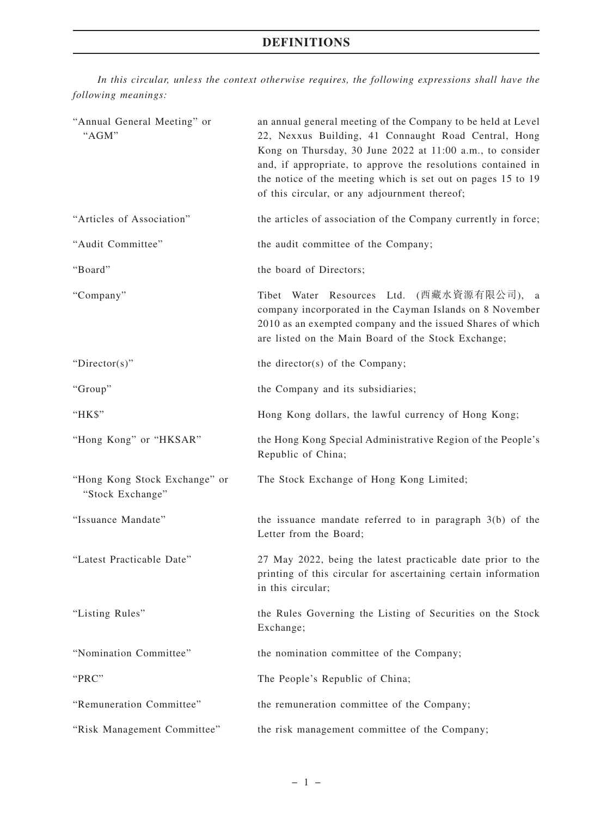## **DEFINITIONS**

*In this circular, unless the context otherwise requires, the following expressions shall have the following meanings:*

| "Annual General Meeting" or<br>"AGM"              | an annual general meeting of the Company to be held at Level<br>22, Nexxus Building, 41 Connaught Road Central, Hong<br>Kong on Thursday, 30 June 2022 at 11:00 a.m., to consider<br>and, if appropriate, to approve the resolutions contained in<br>the notice of the meeting which is set out on pages 15 to 19<br>of this circular, or any adjournment thereof; |
|---------------------------------------------------|--------------------------------------------------------------------------------------------------------------------------------------------------------------------------------------------------------------------------------------------------------------------------------------------------------------------------------------------------------------------|
| "Articles of Association"                         | the articles of association of the Company currently in force;                                                                                                                                                                                                                                                                                                     |
| "Audit Committee"                                 | the audit committee of the Company;                                                                                                                                                                                                                                                                                                                                |
| "Board"                                           | the board of Directors;                                                                                                                                                                                                                                                                                                                                            |
| "Company"                                         | Tibet Water Resources Ltd. (西藏水資源有限公司), a<br>company incorporated in the Cayman Islands on 8 November<br>2010 as an exempted company and the issued Shares of which<br>are listed on the Main Board of the Stock Exchange;                                                                                                                                         |
| "Director(s)"                                     | the director(s) of the Company;                                                                                                                                                                                                                                                                                                                                    |
| "Group"                                           | the Company and its subsidiaries;                                                                                                                                                                                                                                                                                                                                  |
| "HK\$"                                            | Hong Kong dollars, the lawful currency of Hong Kong;                                                                                                                                                                                                                                                                                                               |
| "Hong Kong" or "HKSAR"                            | the Hong Kong Special Administrative Region of the People's<br>Republic of China;                                                                                                                                                                                                                                                                                  |
| "Hong Kong Stock Exchange" or<br>"Stock Exchange" | The Stock Exchange of Hong Kong Limited;                                                                                                                                                                                                                                                                                                                           |
| "Issuance Mandate"                                | the issuance mandate referred to in paragraph $3(b)$ of the<br>Letter from the Board;                                                                                                                                                                                                                                                                              |
| "Latest Practicable Date"                         | 27 May 2022, being the latest practicable date prior to the<br>printing of this circular for ascertaining certain information<br>in this circular;                                                                                                                                                                                                                 |
| "Listing Rules"                                   | the Rules Governing the Listing of Securities on the Stock<br>Exchange;                                                                                                                                                                                                                                                                                            |
| "Nomination Committee"                            | the nomination committee of the Company;                                                                                                                                                                                                                                                                                                                           |
| "PRC"                                             | The People's Republic of China;                                                                                                                                                                                                                                                                                                                                    |
| "Remuneration Committee"                          | the remuneration committee of the Company;                                                                                                                                                                                                                                                                                                                         |
| "Risk Management Committee"                       | the risk management committee of the Company;                                                                                                                                                                                                                                                                                                                      |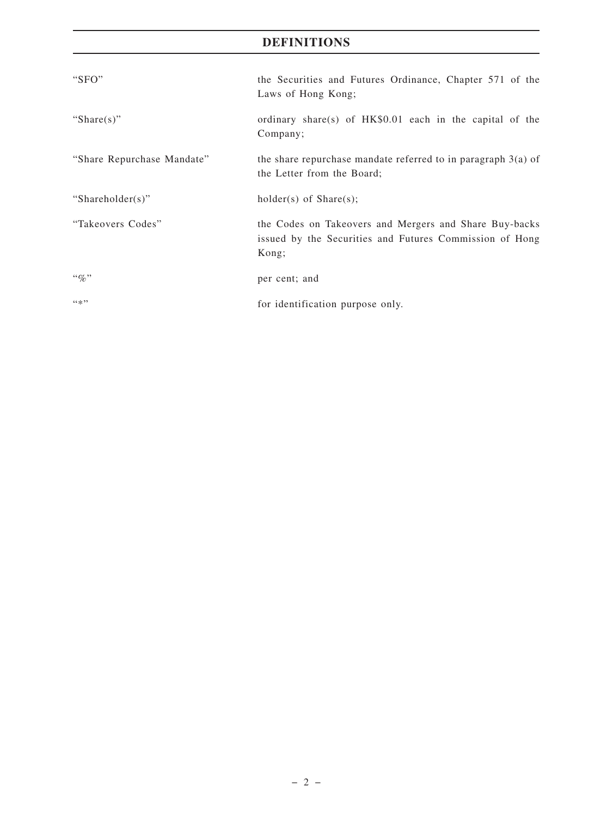## **DEFINITIONS**

| "SFO"                      | the Securities and Futures Ordinance, Chapter 571 of the<br>Laws of Hong Kong;                                             |
|----------------------------|----------------------------------------------------------------------------------------------------------------------------|
| "Share $(s)$ "             | ordinary share(s) of HK\$0.01 each in the capital of the<br>Company;                                                       |
| "Share Repurchase Mandate" | the share repurchase mandate referred to in paragraph $3(a)$ of<br>the Letter from the Board;                              |
| "Shareholder(s)"           | $holder(s)$ of $Share(s);$                                                                                                 |
| "Takeovers Codes"          | the Codes on Takeovers and Mergers and Share Buy-backs<br>issued by the Securities and Futures Commission of Hong<br>Kong; |
| $\lq q_0$ "                | per cent; and                                                                                                              |
| 44, 22                     | for identification purpose only.                                                                                           |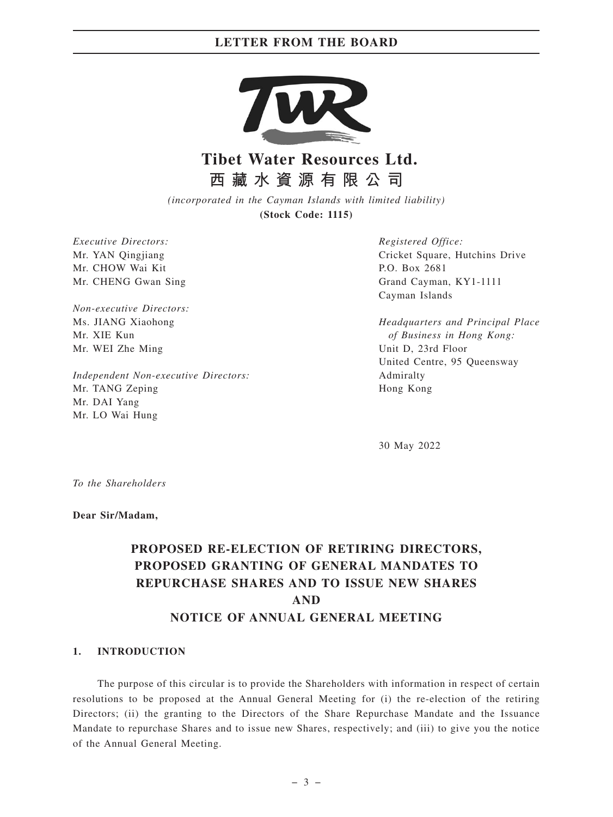

# **Tibet Water Resources Ltd. 西藏水資源有限公司**

*(incorporated in the Cayman Islands with limited liability)* **(Stock Code: 1115)**

*Executive Directors:* Mr. YAN Qingjiang Mr. CHOW Wai Kit Mr. CHENG Gwan Sing

*Non-executive Directors:* Ms. JIANG Xiaohong Mr. XIE Kun Mr. WEI Zhe Ming

*Independent Non-executive Directors:* Mr. TANG Zeping Mr. DAI Yang Mr. LO Wai Hung

*Registered Office:* Cricket Square, Hutchins Drive P.O. Box 2681 Grand Cayman, KY1-1111 Cayman Islands

*Headquarters and Principal Place of Business in Hong Kong:* Unit D, 23rd Floor United Centre, 95 Queensway Admiralty Hong Kong

30 May 2022

*To the Shareholders*

**Dear Sir/Madam,**

## **PROPOSED RE-ELECTION OF RETIRING DIRECTORS, PROPOSED GRANTING OF GENERAL MANDATES TO REPURCHASE SHARES AND TO ISSUE NEW SHARES AND NOTICE OF ANNUAL GENERAL MEETING**

#### **1. INTRODUCTION**

The purpose of this circular is to provide the Shareholders with information in respect of certain resolutions to be proposed at the Annual General Meeting for (i) the re-election of the retiring Directors; (ii) the granting to the Directors of the Share Repurchase Mandate and the Issuance Mandate to repurchase Shares and to issue new Shares, respectively; and (iii) to give you the notice of the Annual General Meeting.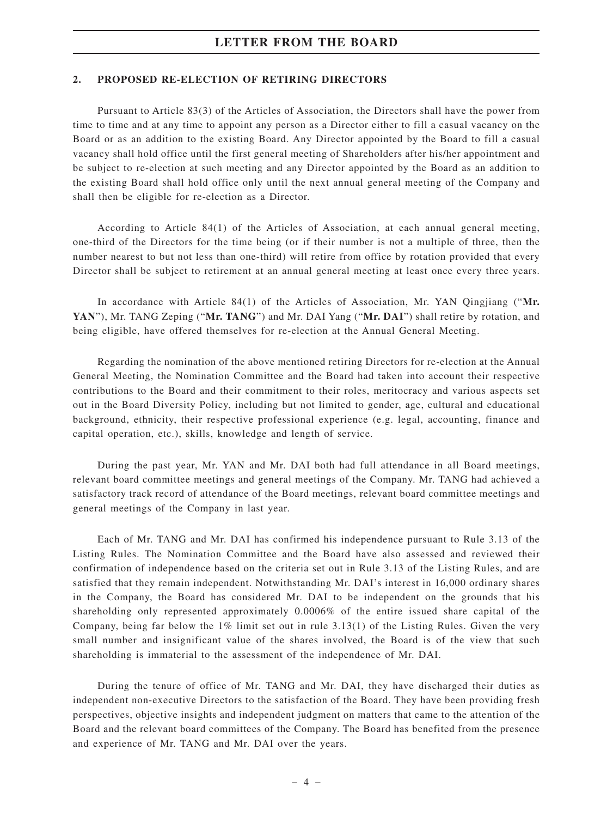#### **2. PROPOSED RE-ELECTION OF RETIRING DIRECTORS**

Pursuant to Article 83(3) of the Articles of Association, the Directors shall have the power from time to time and at any time to appoint any person as a Director either to fill a casual vacancy on the Board or as an addition to the existing Board. Any Director appointed by the Board to fill a casual vacancy shall hold office until the first general meeting of Shareholders after his/her appointment and be subject to re-election at such meeting and any Director appointed by the Board as an addition to the existing Board shall hold office only until the next annual general meeting of the Company and shall then be eligible for re-election as a Director.

According to Article 84(1) of the Articles of Association, at each annual general meeting, one-third of the Directors for the time being (or if their number is not a multiple of three, then the number nearest to but not less than one-third) will retire from office by rotation provided that every Director shall be subject to retirement at an annual general meeting at least once every three years.

In accordance with Article 84(1) of the Articles of Association, Mr. YAN Qingjiang ("**Mr. YAN**"), Mr. TANG Zeping ("**Mr. TANG**") and Mr. DAI Yang ("**Mr. DAI**") shall retire by rotation, and being eligible, have offered themselves for re-election at the Annual General Meeting.

Regarding the nomination of the above mentioned retiring Directors for re-election at the Annual General Meeting, the Nomination Committee and the Board had taken into account their respective contributions to the Board and their commitment to their roles, meritocracy and various aspects set out in the Board Diversity Policy, including but not limited to gender, age, cultural and educational background, ethnicity, their respective professional experience (e.g. legal, accounting, finance and capital operation, etc.), skills, knowledge and length of service.

During the past year, Mr. YAN and Mr. DAI both had full attendance in all Board meetings, relevant board committee meetings and general meetings of the Company. Mr. TANG had achieved a satisfactory track record of attendance of the Board meetings, relevant board committee meetings and general meetings of the Company in last year.

Each of Mr. TANG and Mr. DAI has confirmed his independence pursuant to Rule 3.13 of the Listing Rules. The Nomination Committee and the Board have also assessed and reviewed their confirmation of independence based on the criteria set out in Rule 3.13 of the Listing Rules, and are satisfied that they remain independent. Notwithstanding Mr. DAI's interest in 16,000 ordinary shares in the Company, the Board has considered Mr. DAI to be independent on the grounds that his shareholding only represented approximately 0.0006% of the entire issued share capital of the Company, being far below the 1% limit set out in rule 3.13(1) of the Listing Rules. Given the very small number and insignificant value of the shares involved, the Board is of the view that such shareholding is immaterial to the assessment of the independence of Mr. DAI.

During the tenure of office of Mr. TANG and Mr. DAI, they have discharged their duties as independent non-executive Directors to the satisfaction of the Board. They have been providing fresh perspectives, objective insights and independent judgment on matters that came to the attention of the Board and the relevant board committees of the Company. The Board has benefited from the presence and experience of Mr. TANG and Mr. DAI over the years.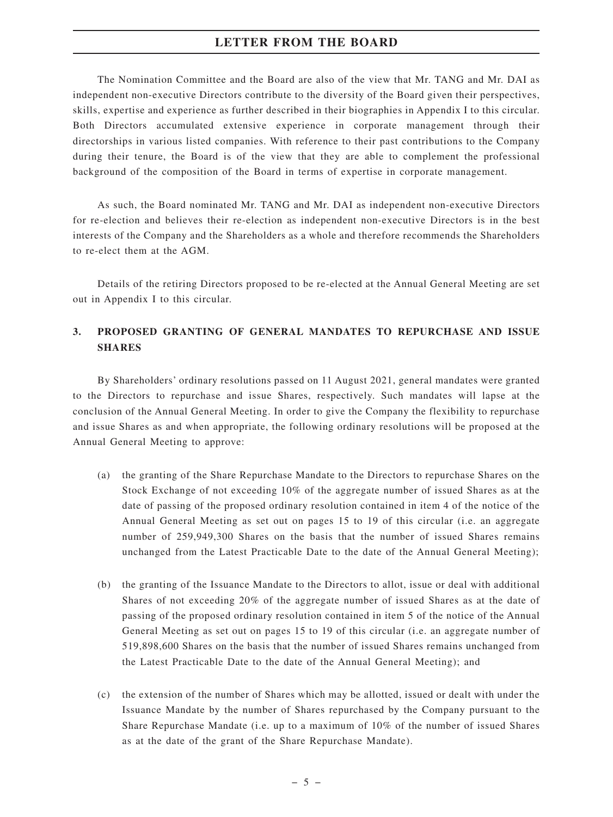The Nomination Committee and the Board are also of the view that Mr. TANG and Mr. DAI as independent non-executive Directors contribute to the diversity of the Board given their perspectives, skills, expertise and experience as further described in their biographies in Appendix I to this circular. Both Directors accumulated extensive experience in corporate management through their directorships in various listed companies. With reference to their past contributions to the Company during their tenure, the Board is of the view that they are able to complement the professional background of the composition of the Board in terms of expertise in corporate management.

As such, the Board nominated Mr. TANG and Mr. DAI as independent non-executive Directors for re-election and believes their re-election as independent non-executive Directors is in the best interests of the Company and the Shareholders as a whole and therefore recommends the Shareholders to re-elect them at the AGM.

Details of the retiring Directors proposed to be re-elected at the Annual General Meeting are set out in Appendix I to this circular.

## **3. PROPOSED GRANTING OF GENERAL MANDATES TO REPURCHASE AND ISSUE SHARES**

By Shareholders' ordinary resolutions passed on 11 August 2021, general mandates were granted to the Directors to repurchase and issue Shares, respectively. Such mandates will lapse at the conclusion of the Annual General Meeting. In order to give the Company the flexibility to repurchase and issue Shares as and when appropriate, the following ordinary resolutions will be proposed at the Annual General Meeting to approve:

- (a) the granting of the Share Repurchase Mandate to the Directors to repurchase Shares on the Stock Exchange of not exceeding 10% of the aggregate number of issued Shares as at the date of passing of the proposed ordinary resolution contained in item 4 of the notice of the Annual General Meeting as set out on pages 15 to 19 of this circular (i.e. an aggregate number of 259,949,300 Shares on the basis that the number of issued Shares remains unchanged from the Latest Practicable Date to the date of the Annual General Meeting);
- (b) the granting of the Issuance Mandate to the Directors to allot, issue or deal with additional Shares of not exceeding 20% of the aggregate number of issued Shares as at the date of passing of the proposed ordinary resolution contained in item 5 of the notice of the Annual General Meeting as set out on pages 15 to 19 of this circular (i.e. an aggregate number of 519,898,600 Shares on the basis that the number of issued Shares remains unchanged from the Latest Practicable Date to the date of the Annual General Meeting); and
- (c) the extension of the number of Shares which may be allotted, issued or dealt with under the Issuance Mandate by the number of Shares repurchased by the Company pursuant to the Share Repurchase Mandate (i.e. up to a maximum of 10% of the number of issued Shares as at the date of the grant of the Share Repurchase Mandate).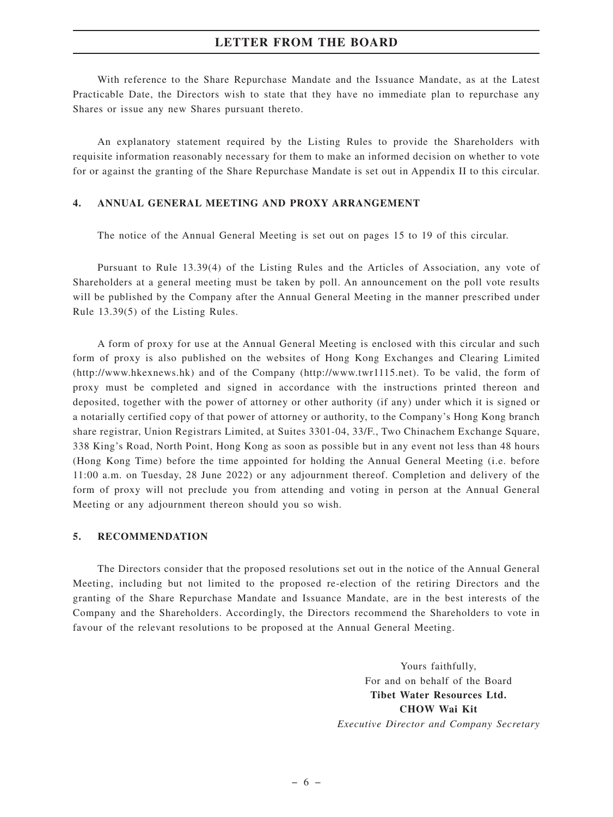With reference to the Share Repurchase Mandate and the Issuance Mandate, as at the Latest Practicable Date, the Directors wish to state that they have no immediate plan to repurchase any Shares or issue any new Shares pursuant thereto.

An explanatory statement required by the Listing Rules to provide the Shareholders with requisite information reasonably necessary for them to make an informed decision on whether to vote for or against the granting of the Share Repurchase Mandate is set out in Appendix II to this circular.

### **4. ANNUAL GENERAL MEETING AND PROXY ARRANGEMENT**

The notice of the Annual General Meeting is set out on pages 15 to 19 of this circular.

Pursuant to Rule 13.39(4) of the Listing Rules and the Articles of Association, any vote of Shareholders at a general meeting must be taken by poll. An announcement on the poll vote results will be published by the Company after the Annual General Meeting in the manner prescribed under Rule 13.39(5) of the Listing Rules.

A form of proxy for use at the Annual General Meeting is enclosed with this circular and such form of proxy is also published on the websites of Hong Kong Exchanges and Clearing Limited (http://www.hkexnews.hk) and of the Company (http://www.twr1115.net). To be valid, the form of proxy must be completed and signed in accordance with the instructions printed thereon and deposited, together with the power of attorney or other authority (if any) under which it is signed or a notarially certified copy of that power of attorney or authority, to the Company's Hong Kong branch share registrar, Union Registrars Limited, at Suites 3301-04, 33/F., Two Chinachem Exchange Square, 338 King's Road, North Point, Hong Kong as soon as possible but in any event not less than 48 hours (Hong Kong Time) before the time appointed for holding the Annual General Meeting (i.e. before 11:00 a.m. on Tuesday, 28 June 2022) or any adjournment thereof. Completion and delivery of the form of proxy will not preclude you from attending and voting in person at the Annual General Meeting or any adjournment thereon should you so wish.

#### **5. RECOMMENDATION**

The Directors consider that the proposed resolutions set out in the notice of the Annual General Meeting, including but not limited to the proposed re-election of the retiring Directors and the granting of the Share Repurchase Mandate and Issuance Mandate, are in the best interests of the Company and the Shareholders. Accordingly, the Directors recommend the Shareholders to vote in favour of the relevant resolutions to be proposed at the Annual General Meeting.

> Yours faithfully, For and on behalf of the Board **Tibet Water Resources Ltd. CHOW Wai Kit** *Executive Director and Company Secretary*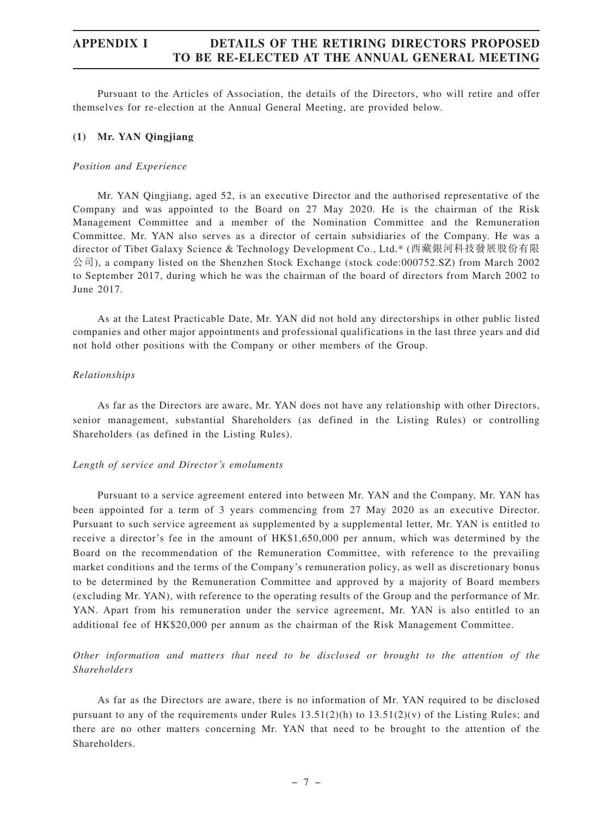Pursuant to the Articles of Association, the details of the Directors, who will retire and offer themselves for re-election at the Annual General Meeting, are provided below.

#### **(1) Mr. YAN Qingjiang**

#### *Position and Experience*

Mr. YAN Qingjiang, aged 52, is an executive Director and the authorised representative of the Company and was appointed to the Board on 27 May 2020. He is the chairman of the Risk Management Committee and a member of the Nomination Committee and the Remuneration Committee. Mr. YAN also serves as a director of certain subsidiaries of the Company. He was a director of Tibet Galaxy Science & Technology Development Co., Ltd.\* (西藏銀河科技發展股份有限  $\Diamond$ 司), a company listed on the Shenzhen Stock Exchange (stock code:000752.SZ) from March 2002 to September 2017, during which he was the chairman of the board of directors from March 2002 to June 2017.

As at the Latest Practicable Date, Mr. YAN did not hold any directorships in other public listed companies and other major appointments and professional qualifications in the last three years and did not hold other positions with the Company or other members of the Group.

#### *Relationships*

As far as the Directors are aware, Mr. YAN does not have any relationship with other Directors, senior management, substantial Shareholders (as defined in the Listing Rules) or controlling Shareholders (as defined in the Listing Rules).

#### *Length of service and Director 's emoluments*

Pursuant to a service agreement entered into between Mr. YAN and the Company, Mr. YAN has been appointed for a term of 3 years commencing from 27 May 2020 as an executive Director. Pursuant to such service agreement as supplemented by a supplemental letter, Mr. YAN is entitled to receive a director's fee in the amount of HK\$1,650,000 per annum, which was determined by the Board on the recommendation of the Remuneration Committee, with reference to the prevailing market conditions and the terms of the Company's remuneration policy, as well as discretionary bonus to be determined by the Remuneration Committee and approved by a majority of Board members (excluding Mr. YAN), with reference to the operating results of the Group and the performance of Mr. YAN. Apart from his remuneration under the service agreement, Mr. YAN is also entitled to an additional fee of HK\$20,000 per annum as the chairman of the Risk Management Committee.

## *Other information and matters that need to be disclosed or brought to the attention of the Shareholders*

As far as the Directors are aware, there is no information of Mr. YAN required to be disclosed pursuant to any of the requirements under Rules  $13.51(2)(h)$  to  $13.51(2)(v)$  of the Listing Rules; and there are no other matters concerning Mr. YAN that need to be brought to the attention of the Shareholders.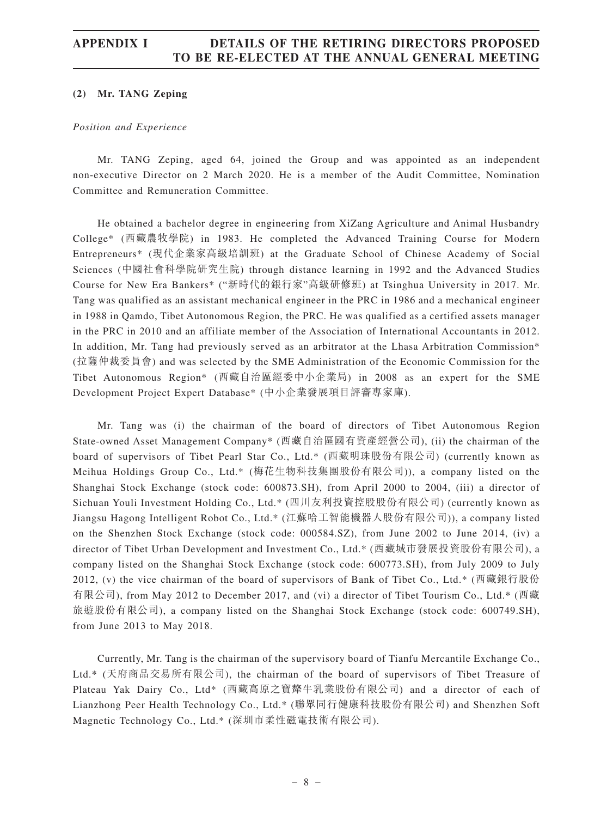#### **(2) Mr. TANG Zeping**

#### *Position and Experience*

Mr. TANG Zeping, aged 64, joined the Group and was appointed as an independent non-executive Director on 2 March 2020. He is a member of the Audit Committee, Nomination Committee and Remuneration Committee.

He obtained a bachelor degree in engineering from XiZang Agriculture and Animal Husbandry College\* (西藏農牧學院) in 1983. He completed the Advanced Training Course for Modern Entrepreneurs\* (現代企業家高級培訓班) at the Graduate School of Chinese Academy of Social Sciences (中國社會科學院研究生院) through distance learning in 1992 and the Advanced Studies Course for New Era Bankers\* ("新時代的銀行家"高級研修班) at Tsinghua University in 2017. Mr. Tang was qualified as an assistant mechanical engineer in the PRC in 1986 and a mechanical engineer in 1988 in Qamdo, Tibet Autonomous Region, the PRC. He was qualified as a certified assets manager in the PRC in 2010 and an affiliate member of the Association of International Accountants in 2012. In addition, Mr. Tang had previously served as an arbitrator at the Lhasa Arbitration Commission\* (拉薩仲裁委員會) and was selected by the SME Administration of the Economic Commission for the Tibet Autonomous Region\* (西藏自治區經委中小企業局) in 2008 as an expert for the SME Development Project Expert Database\* (中小企業發展項目評審專家庫).

Mr. Tang was (i) the chairman of the board of directors of Tibet Autonomous Region State-owned Asset Management Company\* (西藏自治區國有資產經營公司), (ii) the chairman of the board of supervisors of Tibet Pearl Star Co., Ltd.\* (西藏明珠股份有限公司) (currently known as Meihua Holdings Group Co., Ltd.\* (梅花生物科技集團股份有限公司)), a company listed on the Shanghai Stock Exchange (stock code: 600873.SH), from April 2000 to 2004, (iii) a director of Sichuan Youli Investment Holding Co., Ltd.\* (四川友利投資控股股份有限公司) (currently known as Jiangsu Hagong Intelligent Robot Co., Ltd.\* (江蘇哈工智能機器人股份有限公司)), a company listed on the Shenzhen Stock Exchange (stock code: 000584.SZ), from June 2002 to June 2014, (iv) a director of Tibet Urban Development and Investment Co., Ltd.\* (西藏城市發展投資股份有限公司), a company listed on the Shanghai Stock Exchange (stock code: 600773.SH), from July 2009 to July 2012, (v) the vice chairman of the board of supervisors of Bank of Tibet Co., Ltd.\* (西藏銀行股份 有限公司), from May 2012 to December 2017, and (vi) a director of Tibet Tourism Co., Ltd.\* (西藏 旅遊股份有限公司), a company listed on the Shanghai Stock Exchange (stock code: 600749.SH), from June 2013 to May 2018.

Currently, Mr. Tang is the chairman of the supervisory board of Tianfu Mercantile Exchange Co., Ltd.\* (天府商品交易所有限公司), the chairman of the board of supervisors of Tibet Treasure of Plateau Yak Dairy Co., Ltd\* (西藏高原之寶犛牛乳業股份有限公司) and a director of each of Lianzhong Peer Health Technology Co., Ltd.\* (聯眾同行健康科技股份有限公司) and Shenzhen Soft Magnetic Technology Co., Ltd.\* (深圳市柔性磁電技術有限公司).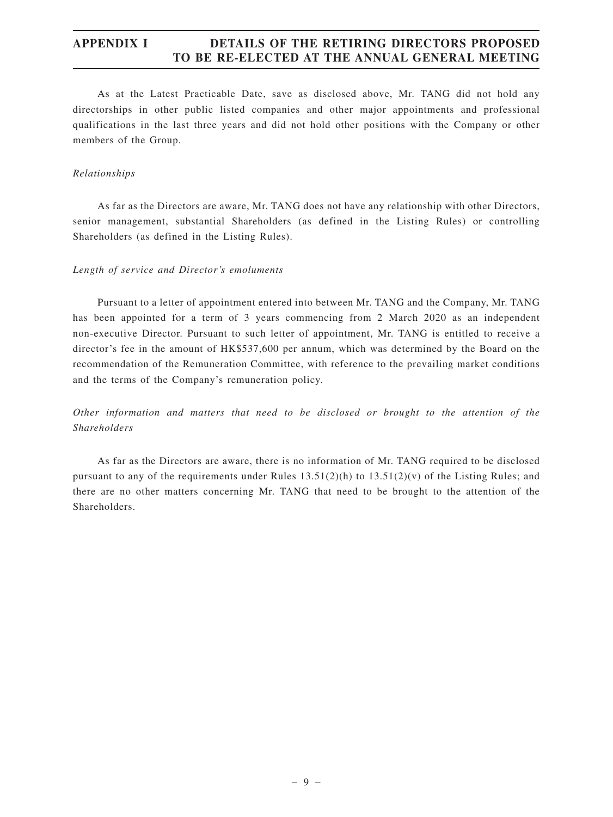As at the Latest Practicable Date, save as disclosed above, Mr. TANG did not hold any directorships in other public listed companies and other major appointments and professional qualifications in the last three years and did not hold other positions with the Company or other members of the Group.

#### *Relationships*

As far as the Directors are aware, Mr. TANG does not have any relationship with other Directors, senior management, substantial Shareholders (as defined in the Listing Rules) or controlling Shareholders (as defined in the Listing Rules).

#### *Length of service and Director 's emoluments*

Pursuant to a letter of appointment entered into between Mr. TANG and the Company, Mr. TANG has been appointed for a term of 3 years commencing from 2 March 2020 as an independent non-executive Director. Pursuant to such letter of appointment, Mr. TANG is entitled to receive a director's fee in the amount of HK\$537,600 per annum, which was determined by the Board on the recommendation of the Remuneration Committee, with reference to the prevailing market conditions and the terms of the Company's remuneration policy.

## *Other information and matters that need to be disclosed or brought to the attention of the Shareholders*

As far as the Directors are aware, there is no information of Mr. TANG required to be disclosed pursuant to any of the requirements under Rules  $13.51(2)(h)$  to  $13.51(2)(v)$  of the Listing Rules; and there are no other matters concerning Mr. TANG that need to be brought to the attention of the Shareholders.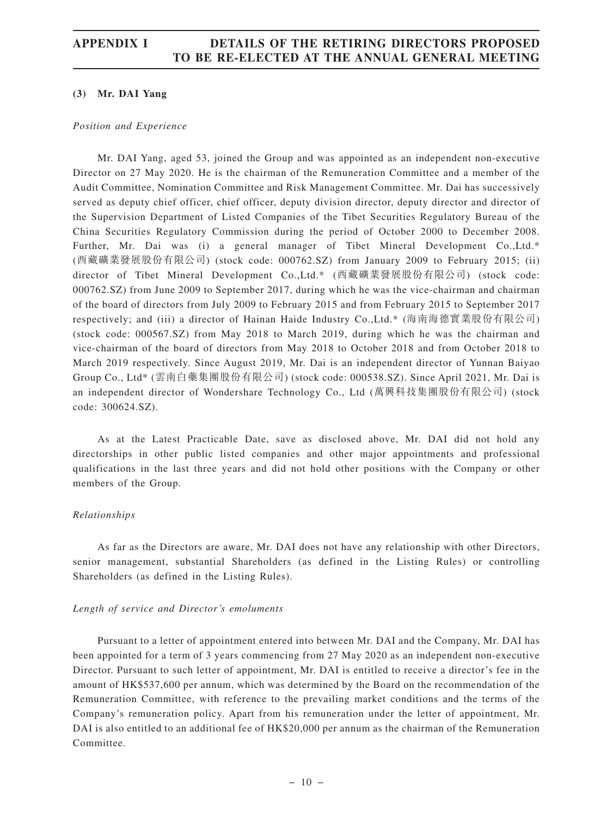#### **(3) Mr. DAI Yang**

#### *Position and Experience*

Mr. DAI Yang, aged 53, joined the Group and was appointed as an independent non-executive Director on 27 May 2020. He is the chairman of the Remuneration Committee and a member of the Audit Committee, Nomination Committee and Risk Management Committee. Mr. Dai has successively served as deputy chief officer, chief officer, deputy division director, deputy director and director of the Supervision Department of Listed Companies of the Tibet Securities Regulatory Bureau of the China Securities Regulatory Commission during the period of October 2000 to December 2008. Further, Mr. Dai was (i) a general manager of Tibet Mineral Development Co., Ltd.\* (西藏礦業發展股份有限公司) (stock code: 000762.SZ) from January 2009 to February 2015; (ii) director of Tibet Mineral Development Co.,Ltd.\* (西藏礦業發展股份有限公司) (stock code: 000762.SZ) from June 2009 to September 2017, during which he was the vice-chairman and chairman of the board of directors from July 2009 to February 2015 and from February 2015 to September 2017 respectively; and (iii) a director of Hainan Haide Industry Co.,Ltd.\* (海南海德實業股份有限公司) (stock code: 000567.SZ) from May 2018 to March 2019, during which he was the chairman and vice-chairman of the board of directors from May 2018 to October 2018 and from October 2018 to March 2019 respectively. Since August 2019, Mr. Dai is an independent director of Yunnan Baiyao Group Co., Ltd\* (雲南白藥集團股份有限公司) (stock code: 000538.SZ). Since April 2021, Mr. Dai is an independent director of Wondershare Technology Co., Ltd (萬興科技集團股份有限公司) (stock code: 300624.SZ).

As at the Latest Practicable Date, save as disclosed above, Mr. DAI did not hold any directorships in other public listed companies and other major appointments and professional qualifications in the last three years and did not hold other positions with the Company or other members of the Group.

#### *Relationships*

As far as the Directors are aware, Mr. DAI does not have any relationship with other Directors, senior management, substantial Shareholders (as defined in the Listing Rules) or controlling Shareholders (as defined in the Listing Rules).

#### *Length of service and Director 's emoluments*

Pursuant to a letter of appointment entered into between Mr. DAI and the Company, Mr. DAI has been appointed for a term of 3 years commencing from 27 May 2020 as an independent non-executive Director. Pursuant to such letter of appointment, Mr. DAI is entitled to receive a director's fee in the amount of HK\$537,600 per annum, which was determined by the Board on the recommendation of the Remuneration Committee, with reference to the prevailing market conditions and the terms of the Company's remuneration policy. Apart from his remuneration under the letter of appointment, Mr. DAI is also entitled to an additional fee of HK\$20,000 per annum as the chairman of the Remuneration Committee.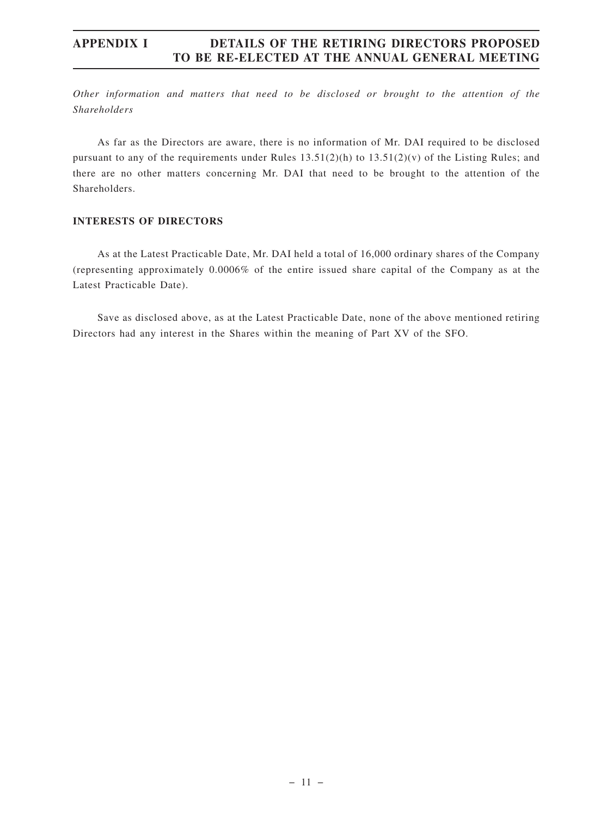*Other information and matters that need to be disclosed or brought to the attention of the Shareholders*

As far as the Directors are aware, there is no information of Mr. DAI required to be disclosed pursuant to any of the requirements under Rules  $13.51(2)(h)$  to  $13.51(2)(v)$  of the Listing Rules; and there are no other matters concerning Mr. DAI that need to be brought to the attention of the Shareholders.

#### **INTERESTS OF DIRECTORS**

As at the Latest Practicable Date, Mr. DAI held a total of 16,000 ordinary shares of the Company (representing approximately 0.0006% of the entire issued share capital of the Company as at the Latest Practicable Date).

Save as disclosed above, as at the Latest Practicable Date, none of the above mentioned retiring Directors had any interest in the Shares within the meaning of Part XV of the SFO.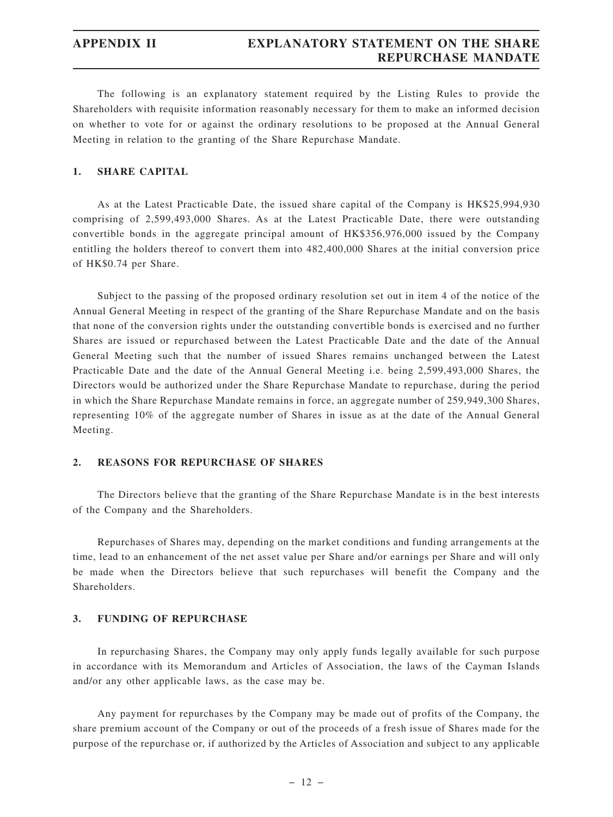The following is an explanatory statement required by the Listing Rules to provide the Shareholders with requisite information reasonably necessary for them to make an informed decision on whether to vote for or against the ordinary resolutions to be proposed at the Annual General Meeting in relation to the granting of the Share Repurchase Mandate.

#### **1. SHARE CAPITAL**

As at the Latest Practicable Date, the issued share capital of the Company is HK\$25,994,930 comprising of 2,599,493,000 Shares. As at the Latest Practicable Date, there were outstanding convertible bonds in the aggregate principal amount of HK\$356,976,000 issued by the Company entitling the holders thereof to convert them into 482,400,000 Shares at the initial conversion price of HK\$0.74 per Share.

Subject to the passing of the proposed ordinary resolution set out in item 4 of the notice of the Annual General Meeting in respect of the granting of the Share Repurchase Mandate and on the basis that none of the conversion rights under the outstanding convertible bonds is exercised and no further Shares are issued or repurchased between the Latest Practicable Date and the date of the Annual General Meeting such that the number of issued Shares remains unchanged between the Latest Practicable Date and the date of the Annual General Meeting i.e. being 2,599,493,000 Shares, the Directors would be authorized under the Share Repurchase Mandate to repurchase, during the period in which the Share Repurchase Mandate remains in force, an aggregate number of 259,949,300 Shares, representing 10% of the aggregate number of Shares in issue as at the date of the Annual General Meeting.

#### **2. REASONS FOR REPURCHASE OF SHARES**

The Directors believe that the granting of the Share Repurchase Mandate is in the best interests of the Company and the Shareholders.

Repurchases of Shares may, depending on the market conditions and funding arrangements at the time, lead to an enhancement of the net asset value per Share and/or earnings per Share and will only be made when the Directors believe that such repurchases will benefit the Company and the Shareholders.

#### **3. FUNDING OF REPURCHASE**

In repurchasing Shares, the Company may only apply funds legally available for such purpose in accordance with its Memorandum and Articles of Association, the laws of the Cayman Islands and/or any other applicable laws, as the case may be.

Any payment for repurchases by the Company may be made out of profits of the Company, the share premium account of the Company or out of the proceeds of a fresh issue of Shares made for the purpose of the repurchase or, if authorized by the Articles of Association and subject to any applicable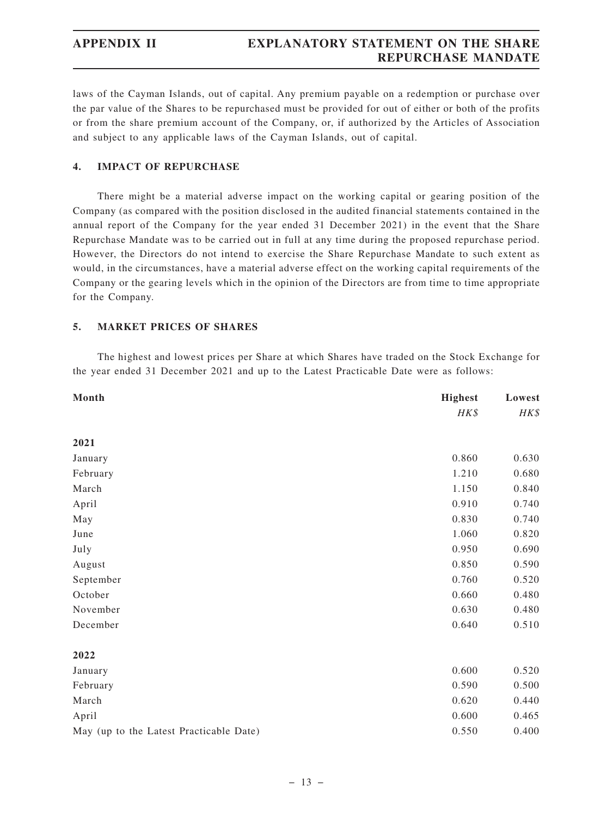laws of the Cayman Islands, out of capital. Any premium payable on a redemption or purchase over the par value of the Shares to be repurchased must be provided for out of either or both of the profits or from the share premium account of the Company, or, if authorized by the Articles of Association and subject to any applicable laws of the Cayman Islands, out of capital.

#### **4. IMPACT OF REPURCHASE**

There might be a material adverse impact on the working capital or gearing position of the Company (as compared with the position disclosed in the audited financial statements contained in the annual report of the Company for the year ended 31 December 2021) in the event that the Share Repurchase Mandate was to be carried out in full at any time during the proposed repurchase period. However, the Directors do not intend to exercise the Share Repurchase Mandate to such extent as would, in the circumstances, have a material adverse effect on the working capital requirements of the Company or the gearing levels which in the opinion of the Directors are from time to time appropriate for the Company.

#### **5. MARKET PRICES OF SHARES**

The highest and lowest prices per Share at which Shares have traded on the Stock Exchange for the year ended 31 December 2021 and up to the Latest Practicable Date were as follows:

| Month                                   | <b>Highest</b> | Lowest |  |
|-----------------------------------------|----------------|--------|--|
|                                         | HK\$           | HK\$   |  |
| 2021                                    |                |        |  |
| January                                 | 0.860          | 0.630  |  |
| February                                | 1.210          | 0.680  |  |
| March                                   | 1.150          | 0.840  |  |
| April                                   | 0.910          | 0.740  |  |
| May                                     | 0.830          | 0.740  |  |
| June                                    | 1.060          | 0.820  |  |
| July                                    | 0.950          | 0.690  |  |
| August                                  | 0.850          | 0.590  |  |
| September                               | 0.760          | 0.520  |  |
| October                                 | 0.660          | 0.480  |  |
| November                                | 0.630          | 0.480  |  |
| December                                | 0.640          | 0.510  |  |
| 2022                                    |                |        |  |
| January                                 | 0.600          | 0.520  |  |
| February                                | 0.590          | 0.500  |  |
| March                                   | 0.620          | 0.440  |  |
| April                                   | 0.600          | 0.465  |  |
| May (up to the Latest Practicable Date) | 0.550          | 0.400  |  |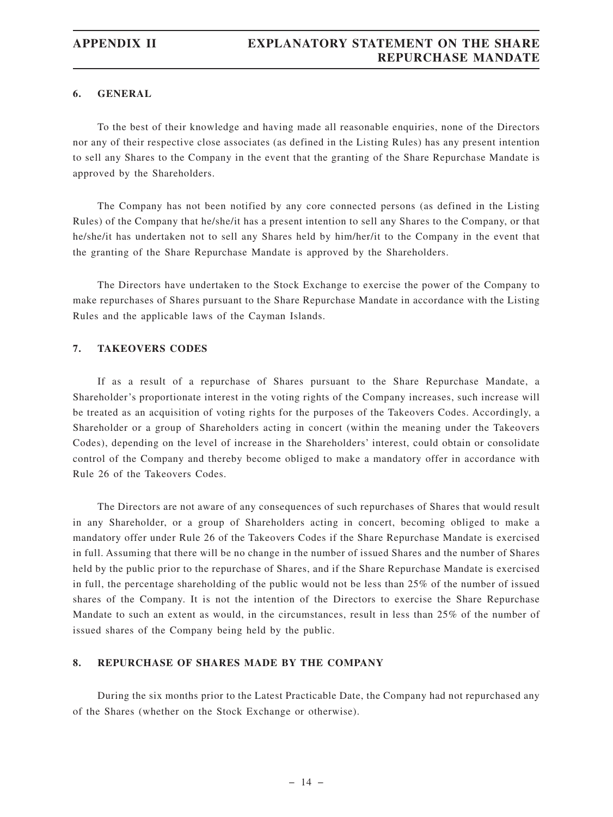#### **6. GENERAL**

To the best of their knowledge and having made all reasonable enquiries, none of the Directors nor any of their respective close associates (as defined in the Listing Rules) has any present intention to sell any Shares to the Company in the event that the granting of the Share Repurchase Mandate is approved by the Shareholders.

The Company has not been notified by any core connected persons (as defined in the Listing Rules) of the Company that he/she/it has a present intention to sell any Shares to the Company, or that he/she/it has undertaken not to sell any Shares held by him/her/it to the Company in the event that the granting of the Share Repurchase Mandate is approved by the Shareholders.

The Directors have undertaken to the Stock Exchange to exercise the power of the Company to make repurchases of Shares pursuant to the Share Repurchase Mandate in accordance with the Listing Rules and the applicable laws of the Cayman Islands.

#### **7. TAKEOVERS CODES**

If as a result of a repurchase of Shares pursuant to the Share Repurchase Mandate, a Shareholder's proportionate interest in the voting rights of the Company increases, such increase will be treated as an acquisition of voting rights for the purposes of the Takeovers Codes. Accordingly, a Shareholder or a group of Shareholders acting in concert (within the meaning under the Takeovers Codes), depending on the level of increase in the Shareholders' interest, could obtain or consolidate control of the Company and thereby become obliged to make a mandatory offer in accordance with Rule 26 of the Takeovers Codes.

The Directors are not aware of any consequences of such repurchases of Shares that would result in any Shareholder, or a group of Shareholders acting in concert, becoming obliged to make a mandatory offer under Rule 26 of the Takeovers Codes if the Share Repurchase Mandate is exercised in full. Assuming that there will be no change in the number of issued Shares and the number of Shares held by the public prior to the repurchase of Shares, and if the Share Repurchase Mandate is exercised in full, the percentage shareholding of the public would not be less than 25% of the number of issued shares of the Company. It is not the intention of the Directors to exercise the Share Repurchase Mandate to such an extent as would, in the circumstances, result in less than 25% of the number of issued shares of the Company being held by the public.

#### **8. REPURCHASE OF SHARES MADE BY THE COMPANY**

During the six months prior to the Latest Practicable Date, the Company had not repurchased any of the Shares (whether on the Stock Exchange or otherwise).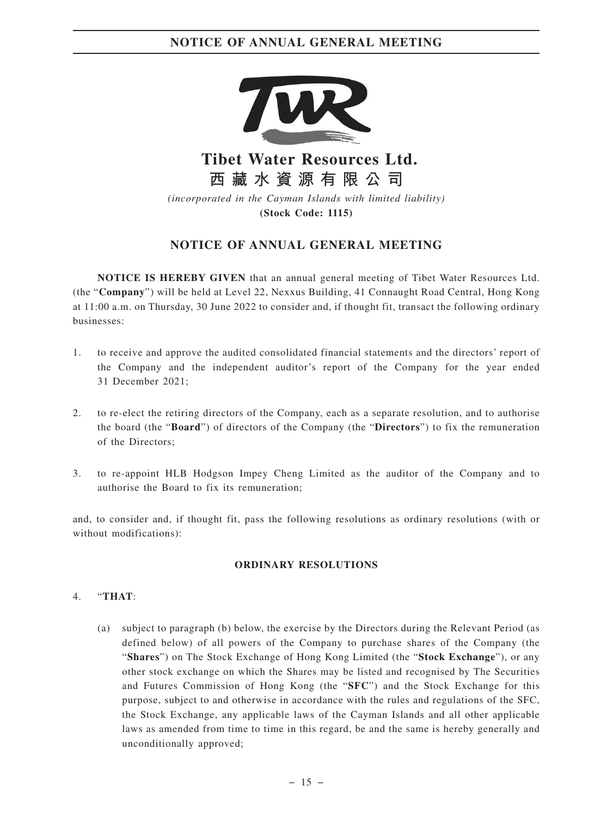

**Tibet Water Resources Ltd. 西藏水資源有限公司**

*(incorporated in the Cayman Islands with limited liability)* **(Stock Code: 1115)**

## **NOTICE OF ANNUAL GENERAL MEETING**

**NOTICE IS HEREBY GIVEN** that an annual general meeting of Tibet Water Resources Ltd. (the "**Company**") will be held at Level 22, Nexxus Building, 41 Connaught Road Central, Hong Kong at 11:00 a.m. on Thursday, 30 June 2022 to consider and, if thought fit, transact the following ordinary businesses:

- 1. to receive and approve the audited consolidated financial statements and the directors' report of the Company and the independent auditor's report of the Company for the year ended 31 December 2021;
- 2. to re-elect the retiring directors of the Company, each as a separate resolution, and to authorise the board (the "**Board**") of directors of the Company (the "**Directors**") to fix the remuneration of the Directors;
- 3. to re-appoint HLB Hodgson Impey Cheng Limited as the auditor of the Company and to authorise the Board to fix its remuneration;

and, to consider and, if thought fit, pass the following resolutions as ordinary resolutions (with or without modifications):

#### **ORDINARY RESOLUTIONS**

#### 4. "**THAT**:

(a) subject to paragraph (b) below, the exercise by the Directors during the Relevant Period (as defined below) of all powers of the Company to purchase shares of the Company (the "**Shares**") on The Stock Exchange of Hong Kong Limited (the "**Stock Exchange**"), or any other stock exchange on which the Shares may be listed and recognised by The Securities and Futures Commission of Hong Kong (the "**SFC**") and the Stock Exchange for this purpose, subject to and otherwise in accordance with the rules and regulations of the SFC, the Stock Exchange, any applicable laws of the Cayman Islands and all other applicable laws as amended from time to time in this regard, be and the same is hereby generally and unconditionally approved;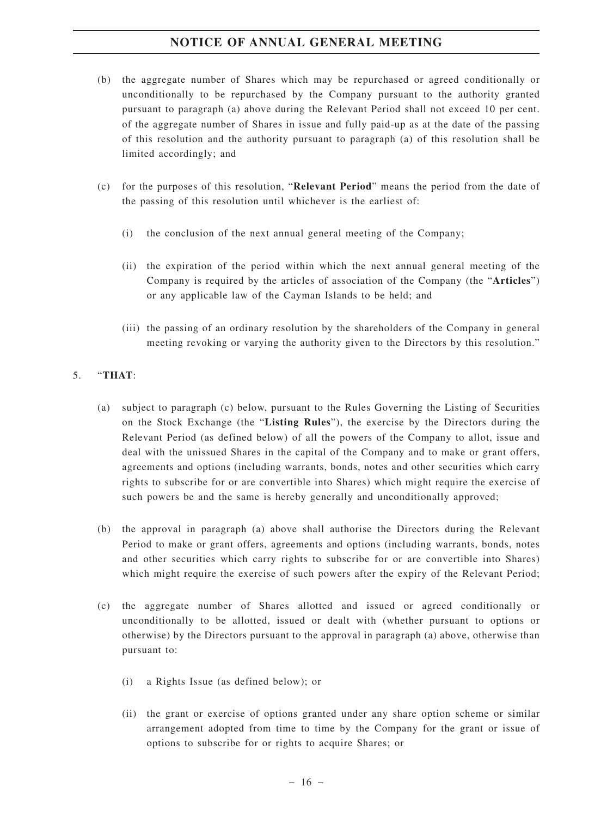- (b) the aggregate number of Shares which may be repurchased or agreed conditionally or unconditionally to be repurchased by the Company pursuant to the authority granted pursuant to paragraph (a) above during the Relevant Period shall not exceed 10 per cent. of the aggregate number of Shares in issue and fully paid-up as at the date of the passing of this resolution and the authority pursuant to paragraph (a) of this resolution shall be limited accordingly; and
- (c) for the purposes of this resolution, "**Relevant Period**" means the period from the date of the passing of this resolution until whichever is the earliest of:
	- (i) the conclusion of the next annual general meeting of the Company;
	- (ii) the expiration of the period within which the next annual general meeting of the Company is required by the articles of association of the Company (the "**Articles**") or any applicable law of the Cayman Islands to be held; and
	- (iii) the passing of an ordinary resolution by the shareholders of the Company in general meeting revoking or varying the authority given to the Directors by this resolution."

## 5. "**THAT**:

- (a) subject to paragraph (c) below, pursuant to the Rules Governing the Listing of Securities on the Stock Exchange (the "**Listing Rules**"), the exercise by the Directors during the Relevant Period (as defined below) of all the powers of the Company to allot, issue and deal with the unissued Shares in the capital of the Company and to make or grant offers, agreements and options (including warrants, bonds, notes and other securities which carry rights to subscribe for or are convertible into Shares) which might require the exercise of such powers be and the same is hereby generally and unconditionally approved;
- (b) the approval in paragraph (a) above shall authorise the Directors during the Relevant Period to make or grant offers, agreements and options (including warrants, bonds, notes and other securities which carry rights to subscribe for or are convertible into Shares) which might require the exercise of such powers after the expiry of the Relevant Period;
- (c) the aggregate number of Shares allotted and issued or agreed conditionally or unconditionally to be allotted, issued or dealt with (whether pursuant to options or otherwise) by the Directors pursuant to the approval in paragraph (a) above, otherwise than pursuant to:
	- (i) a Rights Issue (as defined below); or
	- (ii) the grant or exercise of options granted under any share option scheme or similar arrangement adopted from time to time by the Company for the grant or issue of options to subscribe for or rights to acquire Shares; or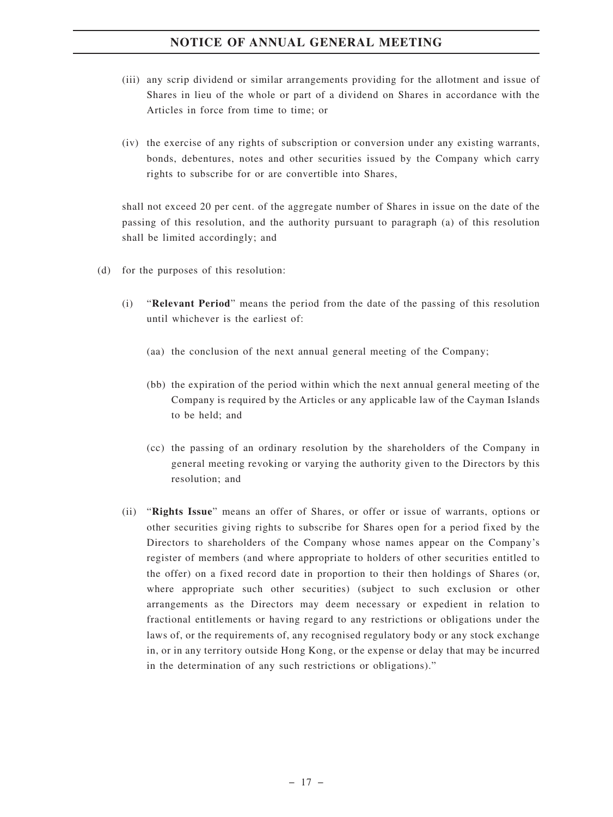- (iii) any scrip dividend or similar arrangements providing for the allotment and issue of Shares in lieu of the whole or part of a dividend on Shares in accordance with the Articles in force from time to time; or
- (iv) the exercise of any rights of subscription or conversion under any existing warrants, bonds, debentures, notes and other securities issued by the Company which carry rights to subscribe for or are convertible into Shares,

shall not exceed 20 per cent. of the aggregate number of Shares in issue on the date of the passing of this resolution, and the authority pursuant to paragraph (a) of this resolution shall be limited accordingly; and

- (d) for the purposes of this resolution:
	- (i) "**Relevant Period**" means the period from the date of the passing of this resolution until whichever is the earliest of:
		- (aa) the conclusion of the next annual general meeting of the Company;
		- (bb) the expiration of the period within which the next annual general meeting of the Company is required by the Articles or any applicable law of the Cayman Islands to be held; and
		- (cc) the passing of an ordinary resolution by the shareholders of the Company in general meeting revoking or varying the authority given to the Directors by this resolution; and
	- (ii) "**Rights Issue**" means an offer of Shares, or offer or issue of warrants, options or other securities giving rights to subscribe for Shares open for a period fixed by the Directors to shareholders of the Company whose names appear on the Company's register of members (and where appropriate to holders of other securities entitled to the offer) on a fixed record date in proportion to their then holdings of Shares (or, where appropriate such other securities) (subject to such exclusion or other arrangements as the Directors may deem necessary or expedient in relation to fractional entitlements or having regard to any restrictions or obligations under the laws of, or the requirements of, any recognised regulatory body or any stock exchange in, or in any territory outside Hong Kong, or the expense or delay that may be incurred in the determination of any such restrictions or obligations)."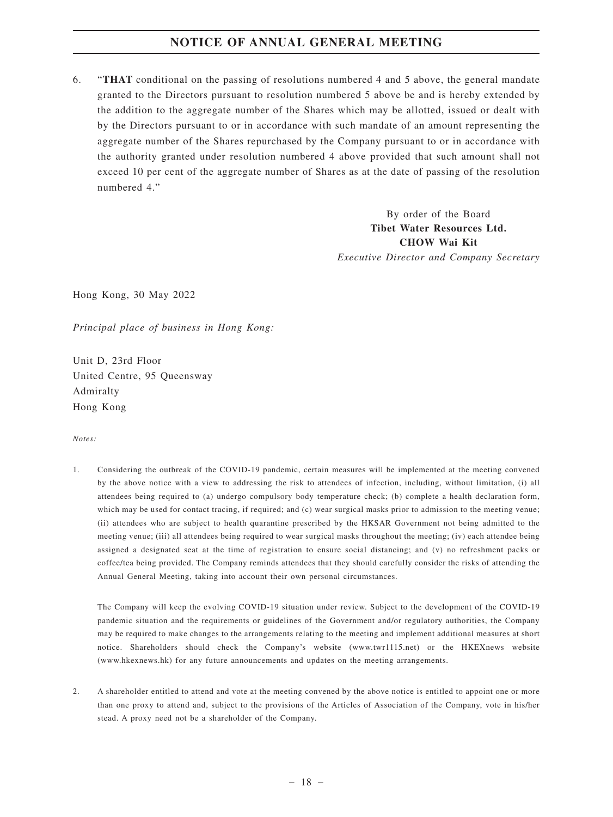6. "**THAT** conditional on the passing of resolutions numbered 4 and 5 above, the general mandate granted to the Directors pursuant to resolution numbered 5 above be and is hereby extended by the addition to the aggregate number of the Shares which may be allotted, issued or dealt with by the Directors pursuant to or in accordance with such mandate of an amount representing the aggregate number of the Shares repurchased by the Company pursuant to or in accordance with the authority granted under resolution numbered 4 above provided that such amount shall not exceed 10 per cent of the aggregate number of Shares as at the date of passing of the resolution numbered 4."

> By order of the Board **Tibet Water Resources Ltd. CHOW Wai Kit** *Executive Director and Company Secretary*

Hong Kong, 30 May 2022

*Principal place of business in Hong Kong:*

Unit D, 23rd Floor United Centre, 95 Queensway Admiralty Hong Kong

#### *Notes:*

1. Considering the outbreak of the COVID-19 pandemic, certain measures will be implemented at the meeting convened by the above notice with a view to addressing the risk to attendees of infection, including, without limitation, (i) all attendees being required to (a) undergo compulsory body temperature check; (b) complete a health declaration form, which may be used for contact tracing, if required; and (c) wear surgical masks prior to admission to the meeting venue; (ii) attendees who are subject to health quarantine prescribed by the HKSAR Government not being admitted to the meeting venue; (iii) all attendees being required to wear surgical masks throughout the meeting; (iv) each attendee being assigned a designated seat at the time of registration to ensure social distancing; and (v) no refreshment packs or coffee/tea being provided. The Company reminds attendees that they should carefully consider the risks of attending the Annual General Meeting, taking into account their own personal circumstances.

The Company will keep the evolving COVID-19 situation under review. Subject to the development of the COVID-19 pandemic situation and the requirements or guidelines of the Government and/or regulatory authorities, the Company may be required to make changes to the arrangements relating to the meeting and implement additional measures at short notice. Shareholders should check the Company's website (www.twr1115.net) or the HKEXnews website (www.hkexnews.hk) for any future announcements and updates on the meeting arrangements.

2. A shareholder entitled to attend and vote at the meeting convened by the above notice is entitled to appoint one or more than one proxy to attend and, subject to the provisions of the Articles of Association of the Company, vote in his/her stead. A proxy need not be a shareholder of the Company.